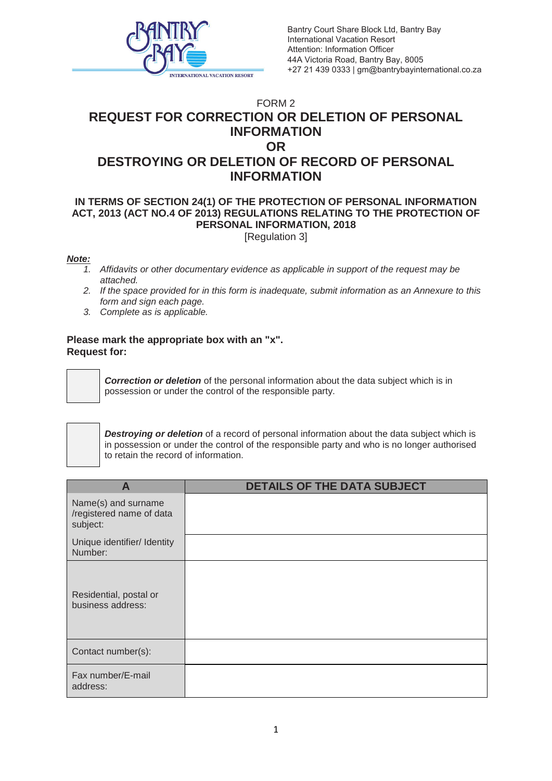

Bantry Court Share Block Ltd, Bantry Bay International Vacation Resort Attention: Information Officer 44A Victoria Road, Bantry Bay, 8005 +27 21 439 0333 | gm@bantrybayinternational.co.za

## FORM 2 **REQUEST FOR CORRECTION OR DELETION OF PERSONAL INFORMATION OR DESTROYING OR DELETION OF RECORD OF PERSONAL INFORMATION**

## **IN TERMS OF SECTION 24(1) OF THE PROTECTION OF PERSONAL INFORMATION ACT, 2013 (ACT NO.4 OF 2013) REGULATIONS RELATING TO THE PROTECTION OF PERSONAL INFORMATION, 2018** [Regulation 3]

## *Note:*

- *1. Affidavits or other documentary evidence as applicable in support of the request may be attached.*
- *2. If the space provided for in this form is inadequate, submit information as an Annexure to this form and sign each page.*
- *3. Complete as is applicable.*

## **Please mark the appropriate box with an "x". Request for:**



*Correction or deletion* of the personal information about the data subject which is in possession or under the control of the responsible party.



**Destroying or deletion** of a record of personal information about the data subject which is in possession or under the control of the responsible party and who is no longer authorised to retain the record of information.

| А                                                           | <b>DETAILS OF THE DATA SUBJECT</b> |
|-------------------------------------------------------------|------------------------------------|
| Name(s) and surname<br>/registered name of data<br>subject: |                                    |
| Unique identifier/ Identity<br>Number:                      |                                    |
| Residential, postal or<br>business address:                 |                                    |
| Contact number(s):                                          |                                    |
| Fax number/E-mail<br>address:                               |                                    |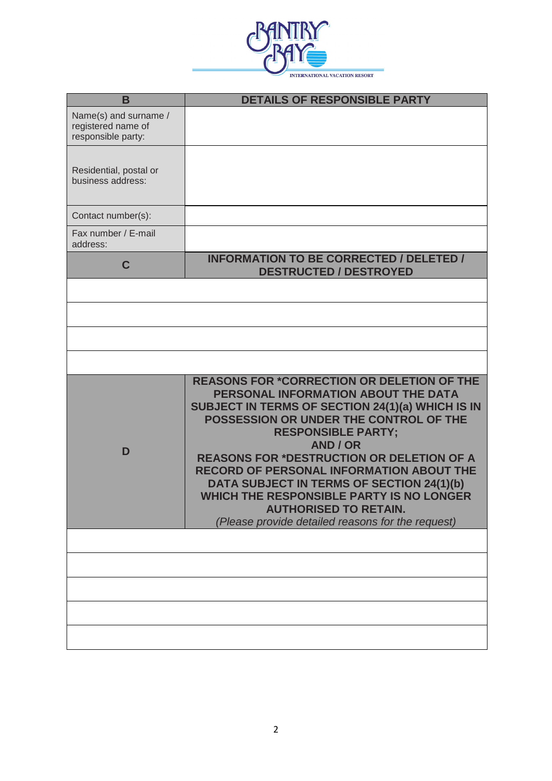

| B                                                                 | <b>DETAILS OF RESPONSIBLE PARTY</b>                                                                                                                                                                                                                                                                                                                                                                                                                                                                                  |
|-------------------------------------------------------------------|----------------------------------------------------------------------------------------------------------------------------------------------------------------------------------------------------------------------------------------------------------------------------------------------------------------------------------------------------------------------------------------------------------------------------------------------------------------------------------------------------------------------|
| Name(s) and surname /<br>registered name of<br>responsible party: |                                                                                                                                                                                                                                                                                                                                                                                                                                                                                                                      |
| Residential, postal or<br>business address:                       |                                                                                                                                                                                                                                                                                                                                                                                                                                                                                                                      |
| Contact number(s):                                                |                                                                                                                                                                                                                                                                                                                                                                                                                                                                                                                      |
| Fax number / E-mail<br>address:                                   |                                                                                                                                                                                                                                                                                                                                                                                                                                                                                                                      |
| C                                                                 | <b>INFORMATION TO BE CORRECTED / DELETED /</b><br><b>DESTRUCTED / DESTROYED</b>                                                                                                                                                                                                                                                                                                                                                                                                                                      |
|                                                                   |                                                                                                                                                                                                                                                                                                                                                                                                                                                                                                                      |
|                                                                   |                                                                                                                                                                                                                                                                                                                                                                                                                                                                                                                      |
|                                                                   |                                                                                                                                                                                                                                                                                                                                                                                                                                                                                                                      |
|                                                                   |                                                                                                                                                                                                                                                                                                                                                                                                                                                                                                                      |
| D                                                                 | <b>REASONS FOR *CORRECTION OR DELETION OF THE</b><br>PERSONAL INFORMATION ABOUT THE DATA<br>SUBJECT IN TERMS OF SECTION 24(1)(a) WHICH IS IN<br>POSSESSION OR UNDER THE CONTROL OF THE<br><b>RESPONSIBLE PARTY;</b><br>AND / OR<br><b>REASONS FOR *DESTRUCTION OR DELETION OF A</b><br>RECORD OF PERSONAL INFORMATION ABOUT THE<br>DATA SUBJECT IN TERMS OF SECTION 24(1)(b)<br><b>WHICH THE RESPONSIBLE PARTY IS NO LONGER</b><br><b>AUTHORISED TO RETAIN.</b><br>(Please provide detailed reasons for the request) |
|                                                                   |                                                                                                                                                                                                                                                                                                                                                                                                                                                                                                                      |
|                                                                   |                                                                                                                                                                                                                                                                                                                                                                                                                                                                                                                      |
|                                                                   |                                                                                                                                                                                                                                                                                                                                                                                                                                                                                                                      |
|                                                                   |                                                                                                                                                                                                                                                                                                                                                                                                                                                                                                                      |
|                                                                   |                                                                                                                                                                                                                                                                                                                                                                                                                                                                                                                      |